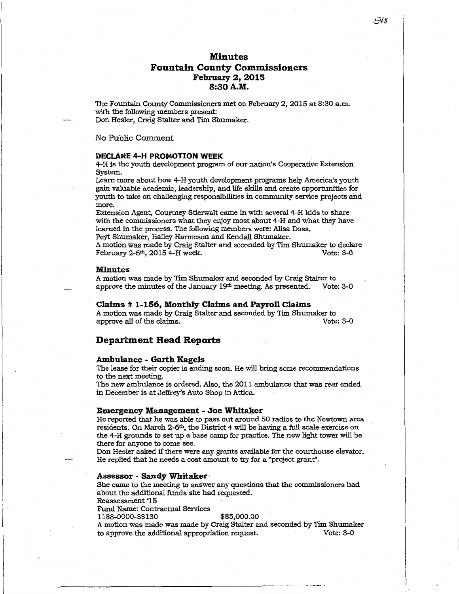# **Minutes Fountain County Commissioners February 2, 2015 8:30 A.M.**

The Fountain County Commissioners met on February 2, 2015 at 8:30 a.m. with the following members present:

Don Hesler, Craig Stalter and Tim Shumaker.

No Public Comment

# **DECLARE 4-H PROMOTION WEEK**

4-H is the youth development program of our nation's Cooperative Extension System.

Learn more about how 4-H youth development programs help America's youth gain valuable academic, leadership, and life skills and create opportunities for youth to take on challenging responsibilities in community service projects and more.

Extension Agent, Courtney Stierwalt came in with several 4-H kids to share with the commissioners what they enjoy most about 4-H and what they have learned in the process. The following members were: Alisa Doss, Peyt Shumaker, Hailey Harmeson and Kendall Shumaker.

A motion was made by Craig Stalter and seconded by Tim Shumaker to declare<br>February 2-6<sup>th</sup>, 2015 4-H week. February  $2-6$ <sup>th</sup>,  $2015$  4-H week.

# **Minutes**

A motion was made by Tim Shumaker and seconded by Craig Stalter to approve the minutes of the January  $19<sup>th</sup>$  meeting. As presented. Vote: 3-0

## **Claims # 1-156, Monthly Claims and Payroll Claims**

A motion was made by Craig Stalter and seconded by Tim Shumaker to approve all of the claims.

# **Department Head Reports**

# **Ambulance - Garth Kagels**

The lease for their copier is ending soon. He will bring some recommendations to the next meeting.

The new ambulance is ordered. Also, the 2011 ambulance that was rear ended in December is at Jeffrey's Auto Shop in Attica.

# **Emergency Management - Joe Whitaker**

He reported that he was able to pass out around 50 radios to the Newtown area residents. On March  $2-6<sup>th</sup>$ , the District 4 will be having a full scale exercise on the 4-H grounds to set up a base camp for practice. The new light tower will be there for anyone to come see.

Don Hesler asked if there were any grants available for the courthouse elevator. He replied that he needs a cost amount to try for a "project grant".

**Assessor - Sandy Whitaker · Shandy Standy Whitaker .** She came to the meeting to answer any questions that the commissioners had about the additional funds she had requested.

Reassessment'15

Fund Name: Contractual Services 1188-0000-33130 \$85,000.00

A motion was made was made by Craig Stalter and seconded by Tim Shumaker to approve the additional appropriation request. Vote: 3-0